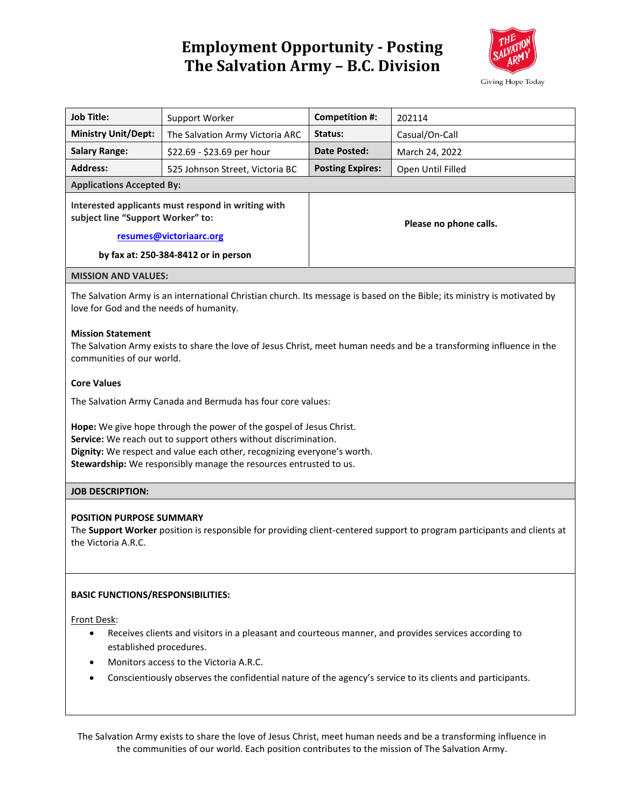# **Employment Opportunity - Posting The Salvation Army – B.C. Division**



| <b>Job Title:</b>                                                                                                                                                                                                                                                                                     | Support Worker                  | <b>Competition #:</b>   | 202114            |
|-------------------------------------------------------------------------------------------------------------------------------------------------------------------------------------------------------------------------------------------------------------------------------------------------------|---------------------------------|-------------------------|-------------------|
| <b>Ministry Unit/Dept:</b>                                                                                                                                                                                                                                                                            | The Salvation Army Victoria ARC | Status:                 | Casual/On-Call    |
| <b>Salary Range:</b>                                                                                                                                                                                                                                                                                  | \$22.69 - \$23.69 per hour      | Date Posted:            | March 24, 2022    |
| <b>Address:</b>                                                                                                                                                                                                                                                                                       | 525 Johnson Street, Victoria BC | <b>Posting Expires:</b> | Open Until Filled |
| <b>Applications Accepted By:</b>                                                                                                                                                                                                                                                                      |                                 |                         |                   |
| Interested applicants must respond in writing with<br>subject line "Support Worker" to:                                                                                                                                                                                                               |                                 | Please no phone calls.  |                   |
| resumes@victoriaarc.org                                                                                                                                                                                                                                                                               |                                 |                         |                   |
| by fax at: 250-384-8412 or in person                                                                                                                                                                                                                                                                  |                                 |                         |                   |
| <b>MISSION AND VALUES:</b>                                                                                                                                                                                                                                                                            |                                 |                         |                   |
| The Salvation Army is an international Christian church. Its message is based on the Bible; its ministry is motivated by<br>love for God and the needs of humanity.                                                                                                                                   |                                 |                         |                   |
| <b>Mission Statement</b><br>The Salvation Army exists to share the love of Jesus Christ, meet human needs and be a transforming influence in the<br>communities of our world.                                                                                                                         |                                 |                         |                   |
| <b>Core Values</b>                                                                                                                                                                                                                                                                                    |                                 |                         |                   |
| The Salvation Army Canada and Bermuda has four core values:                                                                                                                                                                                                                                           |                                 |                         |                   |
| Hope: We give hope through the power of the gospel of Jesus Christ.<br>Service: We reach out to support others without discrimination.<br>Dignity: We respect and value each other, recognizing everyone's worth.<br>Stewardship: We responsibly manage the resources entrusted to us.                |                                 |                         |                   |
| <b>JOB DESCRIPTION:</b>                                                                                                                                                                                                                                                                               |                                 |                         |                   |
| <b>POSITION PURPOSE SUMMARY</b><br>The Support Worker position is responsible for providing client-centered support to program participants and clients at<br>the Victoria A.R.C.                                                                                                                     |                                 |                         |                   |
| <b>BASIC FUNCTIONS/RESPONSIBILITIES:</b>                                                                                                                                                                                                                                                              |                                 |                         |                   |
| Front Desk:<br>Receives clients and visitors in a pleasant and courteous manner, and provides services according to<br>established procedures.<br>Monitors access to the Victoria A.R.C.<br>Conscientiously observes the confidential nature of the agency's service to its clients and participants. |                                 |                         |                   |
|                                                                                                                                                                                                                                                                                                       |                                 |                         |                   |

The Salvation Army exists to share the love of Jesus Christ, meet human needs and be a transforming influence in the communities of our world. Each position contributes to the mission of The Salvation Army.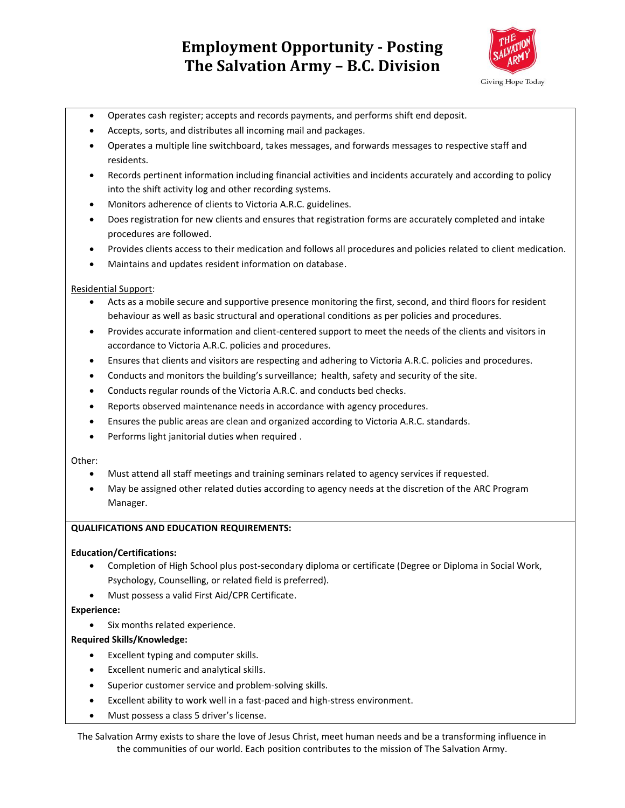## **Employment Opportunity - Posting The Salvation Army – B.C. Division**



- Operates cash register; accepts and records payments, and performs shift end deposit.
- Accepts, sorts, and distributes all incoming mail and packages.
- Operates a multiple line switchboard, takes messages, and forwards messages to respective staff and residents.
- Records pertinent information including financial activities and incidents accurately and according to policy into the shift activity log and other recording systems.
- Monitors adherence of clients to Victoria A.R.C. guidelines.
- Does registration for new clients and ensures that registration forms are accurately completed and intake procedures are followed.
- Provides clients access to their medication and follows all procedures and policies related to client medication.
- Maintains and updates resident information on database.

#### Residential Support:

- Acts as a mobile secure and supportive presence monitoring the first, second, and third floors for resident behaviour as well as basic structural and operational conditions as per policies and procedures.
- Provides accurate information and client-centered support to meet the needs of the clients and visitors in accordance to Victoria A.R.C. policies and procedures.
- Ensures that clients and visitors are respecting and adhering to Victoria A.R.C. policies and procedures.
- Conducts and monitors the building's surveillance; health, safety and security of the site.
- Conducts regular rounds of the Victoria A.R.C. and conducts bed checks.
- Reports observed maintenance needs in accordance with agency procedures.
- Ensures the public areas are clean and organized according to Victoria A.R.C. standards.
- Performs light janitorial duties when required .

Other:

- Must attend all staff meetings and training seminars related to agency services if requested.
- May be assigned other related duties according to agency needs at the discretion of the ARC Program Manager.

#### **QUALIFICATIONS AND EDUCATION REQUIREMENTS:**

#### **Education/Certifications:**

- Completion of High School plus post-secondary diploma or certificate (Degree or Diploma in Social Work, Psychology, Counselling, or related field is preferred).
- Must possess a valid First Aid/CPR Certificate.

#### **Experience:**

Six months related experience.

#### **Required Skills/Knowledge:**

- Excellent typing and computer skills.
- Excellent numeric and analytical skills.
- Superior customer service and problem-solving skills.
- Excellent ability to work well in a fast-paced and high-stress environment.
- Must possess a class 5 driver's license.

The Salvation Army exists to share the love of Jesus Christ, meet human needs and be a transforming influence in the communities of our world. Each position contributes to the mission of The Salvation Army.